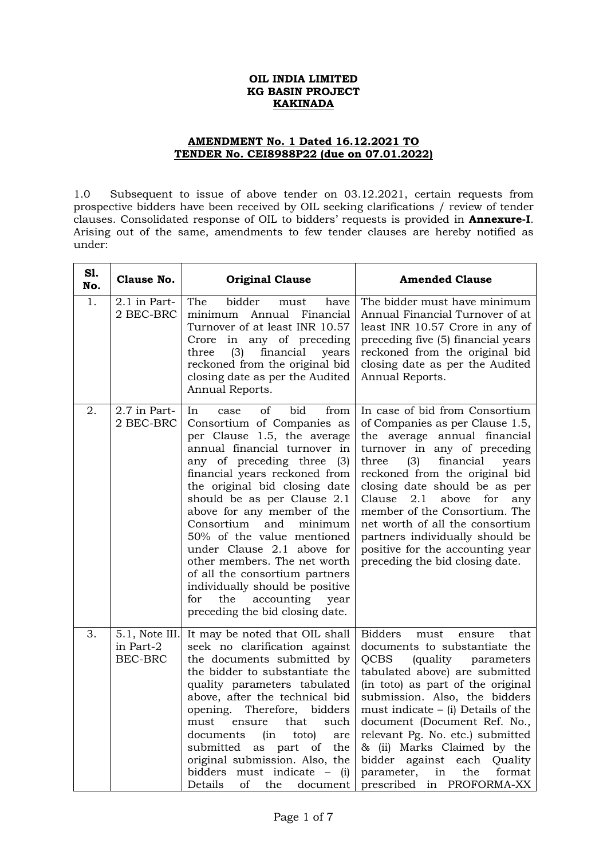## **OIL INDIA LIMITED KG BASIN PROJECT KAKINADA**

## **AMENDMENT No. 1 Dated 16.12.2021 TO TENDER No. CEI8988P22 (due on 07.01.2022)**

1.0 Subsequent to issue of above tender on 03.12.2021, certain requests from prospective bidders have been received by OIL seeking clarifications / review of tender clauses. Consolidated response of OIL to bidders' requests is provided in **Annexure-I**. Arising out of the same, amendments to few tender clauses are hereby notified as under:

| S1.<br>No. | Clause No.                                    | <b>Original Clause</b>                                                                                                                                                                                                                                                                                                                                                                                                                                                                                                                                             | <b>Amended Clause</b>                                                                                                                                                                                                                                                                                                                                                                                                                                                                  |  |
|------------|-----------------------------------------------|--------------------------------------------------------------------------------------------------------------------------------------------------------------------------------------------------------------------------------------------------------------------------------------------------------------------------------------------------------------------------------------------------------------------------------------------------------------------------------------------------------------------------------------------------------------------|----------------------------------------------------------------------------------------------------------------------------------------------------------------------------------------------------------------------------------------------------------------------------------------------------------------------------------------------------------------------------------------------------------------------------------------------------------------------------------------|--|
| 1.         | 2.1 in Part-<br>2 BEC-BRC                     | The<br>bidder<br>have<br>must<br>minimum<br>Annual<br>Financial<br>Turnover of at least INR 10.57<br>Crore in any of preceding<br>financial<br>three<br>(3)<br>years<br>reckoned from the original bid<br>closing date as per the Audited<br>Annual Reports.                                                                                                                                                                                                                                                                                                       | The bidder must have minimum<br>Annual Financial Turnover of at<br>least INR 10.57 Crore in any of<br>preceding five (5) financial years<br>reckoned from the original bid<br>closing date as per the Audited<br>Annual Reports.                                                                                                                                                                                                                                                       |  |
| 2.         | 2.7 in Part-<br>2 BEC-BRC                     | bid<br>In<br>οf<br>from<br>case<br>Consortium of Companies as<br>per Clause 1.5, the average<br>annual financial turnover in<br>any of preceding three (3)<br>financial years reckoned from<br>the original bid closing date<br>should be as per Clause 2.1<br>above for any member of the<br>Consortium<br>and<br>minimum<br>50% of the value mentioned<br>under Clause 2.1 above for<br>other members. The net worth<br>of all the consortium partners<br>individually should be positive<br>accounting<br>for<br>the<br>year<br>preceding the bid closing date. | In case of bid from Consortium<br>of Companies as per Clause 1.5,<br>the average annual financial<br>turnover in any of preceding<br>three<br>(3)<br>financial<br>years<br>reckoned from the original bid<br>closing date should be as per<br>Clause<br>2.1<br>above<br>for<br>any<br>member of the Consortium. The<br>net worth of all the consortium<br>partners individually should be<br>positive for the accounting year<br>preceding the bid closing date.                       |  |
| З.         | 5.1, Note III.<br>in Part-2<br><b>BEC-BRC</b> | It may be noted that OIL shall<br>seek no clarification against<br>the documents submitted by<br>the bidder to substantiate the<br>quality parameters tabulated<br>above, after the technical bid<br>opening.<br>Therefore,<br>bidders<br>must<br>that<br>such<br>ensure<br>documents<br>(in<br>toto)<br>are<br>submitted<br>of<br>the<br>as part<br>original submission. Also, the<br>must indicate<br>bidders<br>$\qquad \qquad -$<br>(i)<br>of<br>Details<br>the<br>document                                                                                    | <b>Bidders</b><br>that<br>must<br>ensure<br>documents to substantiate the<br><b>QCBS</b><br><i>(quality</i><br>parameters<br>tabulated above) are submitted<br>(in toto) as part of the original<br>submission. Also, the bidders<br>must indicate $-$ (i) Details of the<br>document (Document Ref. No.,<br>relevant Pg. No. etc.) submitted<br>& (ii) Marks Claimed by the<br>bidder<br>against<br>each<br>Quality<br>the<br>format<br>parameter,<br>in<br>prescribed in PROFORMA-XX |  |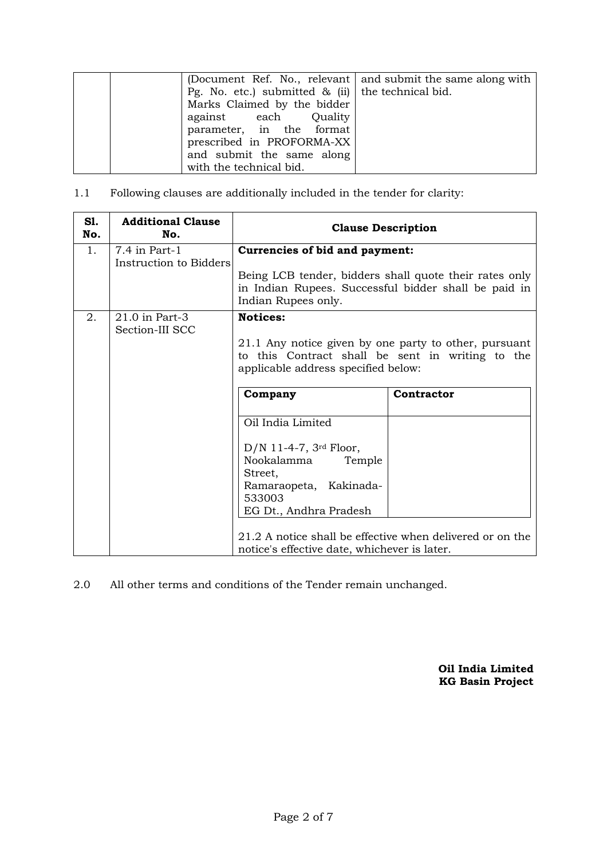|                                                      | (Document Ref. No., relevant and submit the same along with |
|------------------------------------------------------|-------------------------------------------------------------|
| Pg. No. etc.) submitted $\&$ (ii) the technical bid. |                                                             |
| Marks Claimed by the bidder                          |                                                             |
| against each Quality                                 |                                                             |
| parameter, in the format                             |                                                             |
| prescribed in PROFORMA-XX                            |                                                             |
| and submit the same along                            |                                                             |
| with the technical bid.                              |                                                             |

1.1 Following clauses are additionally included in the tender for clarity:

| S1.<br>No. | <b>Additional Clause</b><br>No.           | <b>Clause Description</b>                                                                                                                                                                                                          |            |  |
|------------|-------------------------------------------|------------------------------------------------------------------------------------------------------------------------------------------------------------------------------------------------------------------------------------|------------|--|
| 1.         | $7.4$ in Part-1<br>Instruction to Bidders | Currencies of bid and payment:                                                                                                                                                                                                     |            |  |
|            |                                           | Being LCB tender, bidders shall quote their rates only<br>in Indian Rupees. Successful bidder shall be paid in<br>Indian Rupees only.                                                                                              |            |  |
| 2.         | 21.0 in Part-3<br>Section-III SCC         | <b>Notices:</b><br>21.1 Any notice given by one party to other, pursuant<br>to this Contract shall be sent in writing to the<br>applicable address specified below:                                                                |            |  |
|            |                                           | Company<br>Oil India Limited<br>$D/N$ 11-4-7, 3 <sup>rd</sup> Floor,<br>Nookalamma<br>Temple<br>Street,<br>Ramaraopeta, Kakinada-<br>533003<br>EG Dt., Andhra Pradesh<br>21.2 A notice shall be effective when delivered or on the | Contractor |  |
|            |                                           | notice's effective date, whichever is later.                                                                                                                                                                                       |            |  |

2.0 All other terms and conditions of the Tender remain unchanged.

**Oil India Limited KG Basin Project**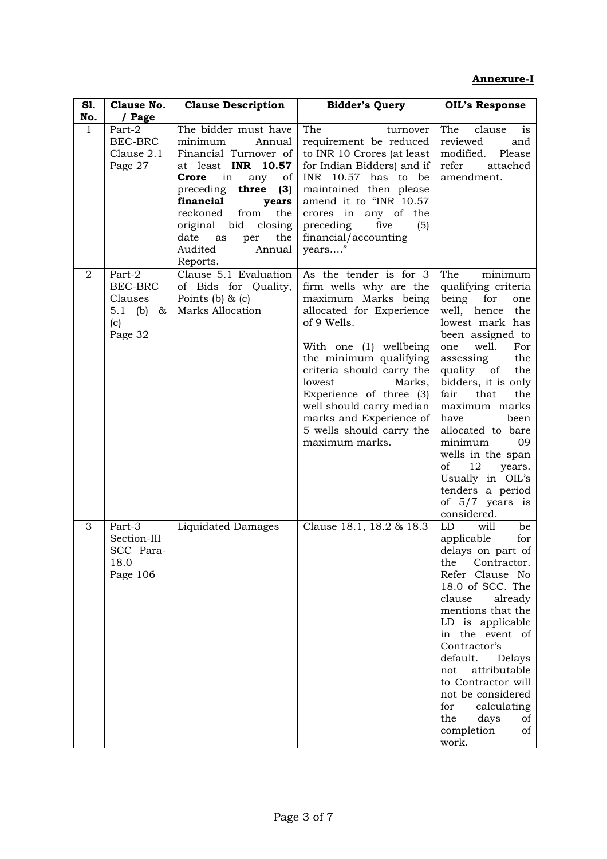## **Annexure-I**

| S1.          | Clause No.                                                        | <b>Clause Description</b>                                                                                                                                                                                                                                                                     | <b>Bidder's Query</b>                                                                                                                                                                                                                                                                                                                                   | <b>OIL's Response</b>                                                                                                                                                                                                                                                                                                                                                                                                                 |
|--------------|-------------------------------------------------------------------|-----------------------------------------------------------------------------------------------------------------------------------------------------------------------------------------------------------------------------------------------------------------------------------------------|---------------------------------------------------------------------------------------------------------------------------------------------------------------------------------------------------------------------------------------------------------------------------------------------------------------------------------------------------------|---------------------------------------------------------------------------------------------------------------------------------------------------------------------------------------------------------------------------------------------------------------------------------------------------------------------------------------------------------------------------------------------------------------------------------------|
| No.          | / Page                                                            |                                                                                                                                                                                                                                                                                               |                                                                                                                                                                                                                                                                                                                                                         |                                                                                                                                                                                                                                                                                                                                                                                                                                       |
| $\mathbf{1}$ | Part-2<br>BEC-BRC<br>Clause 2.1<br>Page 27                        | The bidder must have<br>minimum<br>Annual<br>Financial Turnover of<br>at least INR 10.57<br>Crore<br>in<br>any<br>of<br>preceding<br>three<br>(3)<br>financial<br>years<br>reckoned<br>the<br>from<br>original<br>bid<br>closing<br>date<br>the<br>as<br>per<br>Audited<br>Annual<br>Reports. | The<br>turnover<br>requirement be reduced<br>to INR 10 Crores (at least<br>for Indian Bidders) and if<br>INR 10.57 has to be<br>maintained then please<br>amend it to "INR 10.57<br>crores in any of the<br>preceding<br>five<br>(5)<br>financial/accounting<br>years"                                                                                  | The<br>clause<br><sub>is</sub><br>reviewed<br>and<br>modified.<br>Please<br>refer<br>attached<br>amendment.                                                                                                                                                                                                                                                                                                                           |
| 2            | Part-2<br>BEC-BRC<br>Clauses<br>5.1<br>(b)<br>&<br>(c)<br>Page 32 | Clause 5.1 Evaluation<br>of Bids for Quality,<br>Points (b) $\&$ (c)<br>Marks Allocation                                                                                                                                                                                                      | As the tender is for 3<br>firm wells why are the<br>maximum Marks being<br>allocated for Experience<br>of 9 Wells.<br>With one (1) wellbeing<br>the minimum qualifying<br>criteria should carry the<br>lowest<br>Marks,<br>Experience of three (3)<br>well should carry median<br>marks and Experience of<br>5 wells should carry the<br>maximum marks. | The<br>minimum<br>qualifying criteria<br>being<br>for<br>one<br>well, hence<br>the<br>lowest mark has<br>been assigned to<br>well.<br>one<br>For<br>the<br>assessing<br>quality of<br>the<br>bidders, it is only<br>that<br>the<br>fair<br>maximum marks<br>have<br>been<br>allocated to bare<br>minimum<br>09<br>wells in the span<br>of<br>12<br>years.<br>Usually in OIL's<br>tenders a period<br>of $5/7$ years is<br>considered. |
| 3            | Part-3<br>Section-III<br>SCC Para-<br>18.0<br>Page 106            | <b>Liquidated Damages</b>                                                                                                                                                                                                                                                                     | Clause 18.1, 18.2 & 18.3                                                                                                                                                                                                                                                                                                                                | LD<br>will<br>be<br>applicable<br>for<br>delays on part of<br>the<br>Contractor.<br>Refer Clause No<br>18.0 of SCC. The<br>clause<br>already<br>mentions that the<br>LD is applicable<br>in the event of<br>Contractor's<br>default.<br>Delays<br>not<br>attributable<br>to Contractor will<br>not be considered<br>for<br>calculating<br>the<br>days<br>of<br>completion<br>of<br>work.                                              |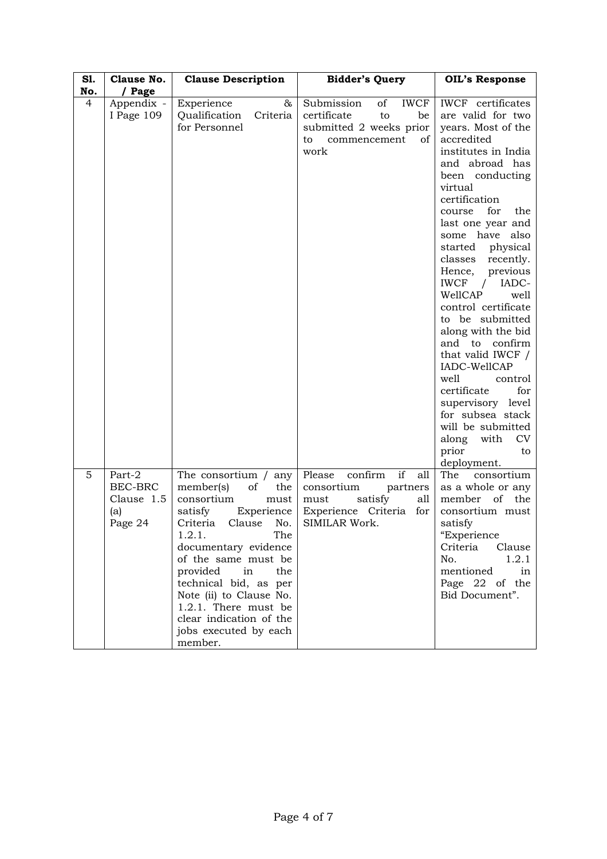| S1. | Clause No.                                        | <b>Clause Description</b>                                                                                                                                                                                                                                                                                                                                        | <b>Bidder's Query</b>                                                                                                             | <b>OIL's Response</b>                                                                                                                                                                                                                                                                                                                                                                                                                                                                                                                                                                                                                          |
|-----|---------------------------------------------------|------------------------------------------------------------------------------------------------------------------------------------------------------------------------------------------------------------------------------------------------------------------------------------------------------------------------------------------------------------------|-----------------------------------------------------------------------------------------------------------------------------------|------------------------------------------------------------------------------------------------------------------------------------------------------------------------------------------------------------------------------------------------------------------------------------------------------------------------------------------------------------------------------------------------------------------------------------------------------------------------------------------------------------------------------------------------------------------------------------------------------------------------------------------------|
| No. | / Page                                            |                                                                                                                                                                                                                                                                                                                                                                  |                                                                                                                                   |                                                                                                                                                                                                                                                                                                                                                                                                                                                                                                                                                                                                                                                |
| 4   | Appendix -<br>I Page 109                          | &<br>Experience<br>Criteria<br>Qualification<br>for Personnel                                                                                                                                                                                                                                                                                                    | Submission<br><b>IWCF</b><br>of<br>certificate<br>to<br>be<br>submitted 2 weeks prior<br>commencement<br>οf<br>to<br>work         | <b>IWCF</b> certificates<br>are valid for two<br>years. Most of the<br>accredited<br>institutes in India<br>and abroad has<br>been conducting<br>virtual<br>certification<br>for<br>the<br>course<br>last one year and<br>some have also<br>started<br>physical<br>classes<br>recently.<br>previous<br>Hence,<br><b>IWCF</b><br>IADC-<br>WellCAP<br>well<br>control certificate<br>to be submitted<br>along with the bid<br>confirm<br>and to<br>that valid IWCF /<br>IADC-WellCAP<br>well<br>control<br>certificate<br>for<br>supervisory level<br>for subsea stack<br>will be submitted<br>along<br>CV<br>with<br>prior<br>to<br>deployment. |
| 5   | Part-2<br>BEC-BRC<br>Clause 1.5<br>(a)<br>Page 24 | The consortium $/$ any<br>member(s)<br>of<br>the<br>consortium<br>must<br>satisfy<br>Experience<br>Criteria<br>Clause<br>No.<br>1.2.1.<br>The<br>documentary evidence<br>of the same must be<br>provided<br>in<br>the<br>technical bid, as per<br>Note (ii) to Clause No.<br>1.2.1. There must be<br>clear indication of the<br>jobs executed by each<br>member. | if<br>confirm<br>Please<br>all<br>consortium<br>partners<br>satisfy<br>must<br>all<br>Experience Criteria<br>for<br>SIMILAR Work. | The<br>consortium<br>as a whole or any<br>member<br>of<br>the<br>consortium must<br>satisfy<br>"Experience<br>Criteria<br>Clause<br>No.<br>1.2.1<br>mentioned<br>in<br>Page 22 of the<br>Bid Document".                                                                                                                                                                                                                                                                                                                                                                                                                                        |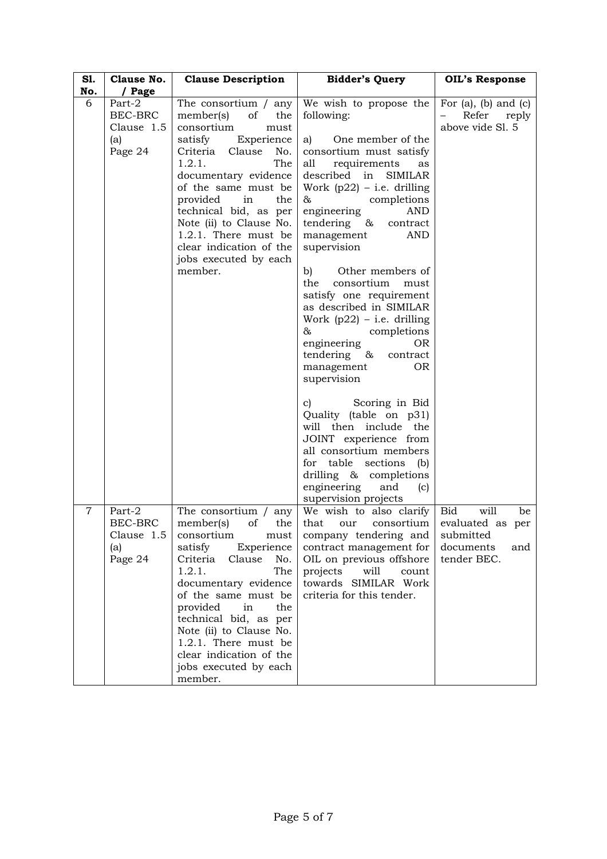| S1.<br>No.     | Clause No.<br>/ Page                                     | <b>Clause Description</b>                                                                                                                                                                                                                                                                                                                                         | <b>Bidder's Query</b>                                                                                                                                                                                                                                                                                                                                                                                                                                                                                                                                                                                                                                                                                                                                                                                | <b>OIL's Response</b>                                                                         |
|----------------|----------------------------------------------------------|-------------------------------------------------------------------------------------------------------------------------------------------------------------------------------------------------------------------------------------------------------------------------------------------------------------------------------------------------------------------|------------------------------------------------------------------------------------------------------------------------------------------------------------------------------------------------------------------------------------------------------------------------------------------------------------------------------------------------------------------------------------------------------------------------------------------------------------------------------------------------------------------------------------------------------------------------------------------------------------------------------------------------------------------------------------------------------------------------------------------------------------------------------------------------------|-----------------------------------------------------------------------------------------------|
| 6              | Part-2<br>BEC-BRC<br>Clause 1.5<br>(a)<br>Page 24        | The consortium / any<br>member(s)<br>οf<br>the<br>consortium<br>must<br>satisfy<br>Experience<br>Criteria<br>Clause<br>No.<br>1.2.1.<br>The<br>documentary evidence<br>of the same must be<br>provided<br>in<br>the<br>technical bid, as per<br>Note (ii) to Clause No.<br>1.2.1. There must be<br>clear indication of the<br>jobs executed by each<br>member.    | We wish to propose the<br>following:<br>One member of the<br>a)<br>consortium must satisfy<br>all<br>requirements<br>as<br>described in<br><b>SIMILAR</b><br>Work $(p22)$ – i.e. drilling<br>completions<br>&<br>AND<br>engineering<br>tendering &<br>contract<br>management<br><b>AND</b><br>supervision<br>b)<br>Other members of<br>consortium<br>the<br>must<br>satisfy one requirement<br>as described in SIMILAR<br>Work $(p22)$ – i.e. drilling<br>&<br>completions<br>engineering<br>0R<br>tendering &<br>contract<br>management<br>0 <sub>R</sub><br>supervision<br>Scoring in Bid<br>C)<br>Quality (table on p31)<br>will then include<br>the<br>JOINT experience from<br>all consortium members<br>table<br>sections<br>for<br>(b)<br>drilling & completions<br>engineering<br>and<br>(c) | For $(a)$ , $(b)$ and $(c)$<br>Refer<br>$\overline{\phantom{0}}$<br>reply<br>above vide Sl. 5 |
| $\overline{7}$ | Part-2<br><b>BEC-BRC</b><br>Clause 1.5<br>(a)<br>Page 24 | The consortium /<br>any<br>of<br>member(s)<br>the<br>consortium<br>must<br>satisfy<br>Experience<br>Criteria<br>No.<br>Clause<br>1.2.1.<br>The<br>documentary evidence<br>of the same must be<br>provided<br>in<br>the<br>technical bid, as per<br>Note (ii) to Clause No.<br>1.2.1. There must be<br>clear indication of the<br>jobs executed by each<br>member. | supervision projects<br>We wish to also clarify<br>that<br>consortium<br>our<br>company tendering and<br>contract management for<br>OIL on previous offshore<br>will<br>projects<br>count<br>towards SIMILAR Work<br>criteria for this tender.                                                                                                                                                                                                                                                                                                                                                                                                                                                                                                                                                       | <b>Bid</b><br>will<br>be<br>evaluated as per<br>submitted<br>documents<br>and<br>tender BEC.  |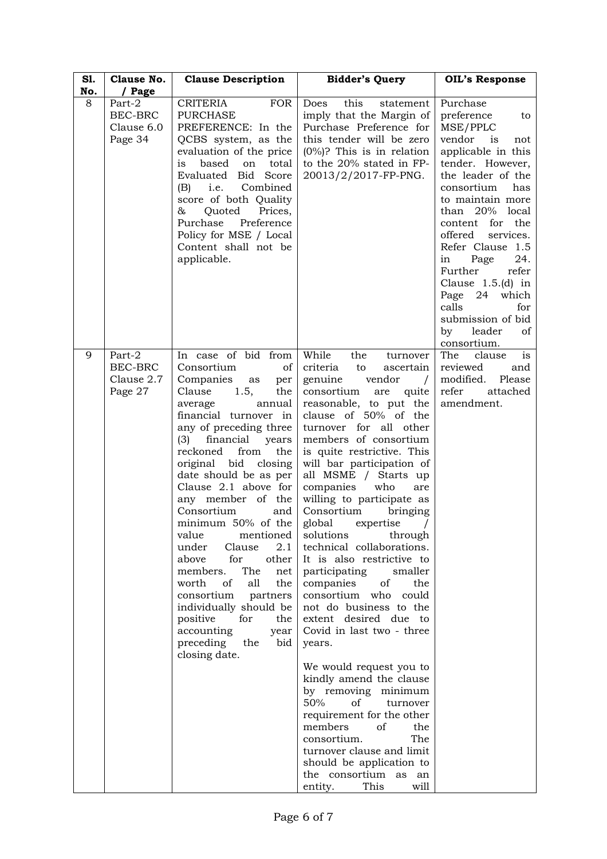| S1.<br>No. | Clause No.<br>/ Page                              | <b>Clause Description</b>                                                                                                                                                                                                                                                                                                                                                                                                                                                                                                                                                                                                                              | <b>Bidder's Query</b>                                                                                                                                                                                                                                                                                                                                                                                                                                                                                                                                                                                                                                                                                                                                                                                                                                                                                                                                                               | <b>OIL's Response</b>                                                                                                                                                                                                                                                                                                                                                                                              |
|------------|---------------------------------------------------|--------------------------------------------------------------------------------------------------------------------------------------------------------------------------------------------------------------------------------------------------------------------------------------------------------------------------------------------------------------------------------------------------------------------------------------------------------------------------------------------------------------------------------------------------------------------------------------------------------------------------------------------------------|-------------------------------------------------------------------------------------------------------------------------------------------------------------------------------------------------------------------------------------------------------------------------------------------------------------------------------------------------------------------------------------------------------------------------------------------------------------------------------------------------------------------------------------------------------------------------------------------------------------------------------------------------------------------------------------------------------------------------------------------------------------------------------------------------------------------------------------------------------------------------------------------------------------------------------------------------------------------------------------|--------------------------------------------------------------------------------------------------------------------------------------------------------------------------------------------------------------------------------------------------------------------------------------------------------------------------------------------------------------------------------------------------------------------|
| 8          | Part-2<br><b>BEC-BRC</b><br>Clause 6.0<br>Page 34 | <b>CRITERIA</b><br><b>FOR</b><br><b>PURCHASE</b><br>PREFERENCE: In the<br>QCBS system, as the<br>evaluation of the price<br>is<br>based<br>on<br>total<br>Evaluated<br>Bid Score<br>Combined<br>i.e.<br>(B)<br>score of both Quality<br>&<br>Quoted<br>Prices,<br>Purchase<br>Preference<br>Policy for MSE / Local<br>Content shall not be<br>applicable.                                                                                                                                                                                                                                                                                              | this<br>Does<br>statement<br>imply that the Margin of<br>Purchase Preference for<br>this tender will be zero<br>$(0\%)$ ? This is in relation<br>to the 20% stated in FP-<br>20013/2/2017-FP-PNG.                                                                                                                                                                                                                                                                                                                                                                                                                                                                                                                                                                                                                                                                                                                                                                                   | Purchase<br>preference<br>to<br>MSE/PPLC<br>vendor<br>is<br>not<br>applicable in this<br>tender. However,<br>the leader of the<br>consortium<br>has<br>to maintain more<br>than 20% local<br>content for the<br>offered<br>services.<br>Refer Clause 1.5<br>24.<br>Page<br>in<br>Further<br>refer<br>Clause $1.5(d)$ in<br>Page 24 which<br>calls<br>for<br>submission of bid<br>leader<br>by<br>οf<br>consortium. |
| 9          | Part-2<br>BEC-BRC<br>Clause 2.7<br>Page 27        | In case of bid from<br>Consortium<br>of<br>Companies<br>as<br>per<br>Clause<br>1.5,<br>the<br>annual<br>average<br>financial turnover in<br>any of preceding three<br>financial<br>(3)<br>years<br>reckoned<br>from<br>the<br>original bid<br>closing<br>date should be as per<br>Clause 2.1 above for<br>any member of the<br>Consortium<br>and<br>minimum 50% of the<br>value<br>mentioned<br>2.1<br>under<br>Clause<br>for<br>other<br>above<br>The<br>members.<br>net<br>of<br>all<br>worth<br>the<br>consortium<br>partners<br>individually should be<br>positive<br>for<br>the<br>accounting<br>year<br>preceding<br>the<br>bid<br>closing date. | While<br>the<br>turnover<br>criteria<br>to<br>ascertain<br>genuine<br>vendor<br>$\sqrt{ }$<br>consortium<br>quite<br>are<br>reasonable, to put the<br>clause of 50% of the<br>turnover for all other<br>members of consortium<br>is quite restrictive. This<br>will bar participation of<br>all MSME / Starts up<br>companies<br>who<br>are<br>willing to participate as<br>Consortium<br>bringing<br>global<br>expertise<br>solutions<br>through<br>technical collaborations.<br>It is also restrictive to<br>participating<br>smaller<br>of<br>companies<br>the<br>consortium who<br>could<br>not do business to the<br>extent desired due to<br>Covid in last two - three<br>years.<br>We would request you to<br>kindly amend the clause<br>by removing minimum<br>50%<br>οf<br>turnover<br>requirement for the other<br>members<br>οf<br>the<br>consortium.<br>The<br>turnover clause and limit<br>should be application to<br>the consortium as an<br>entity.<br>This<br>will | The<br>clause<br>is<br>reviewed<br>and<br>modified.<br>Please<br>refer<br>attached<br>amendment.                                                                                                                                                                                                                                                                                                                   |